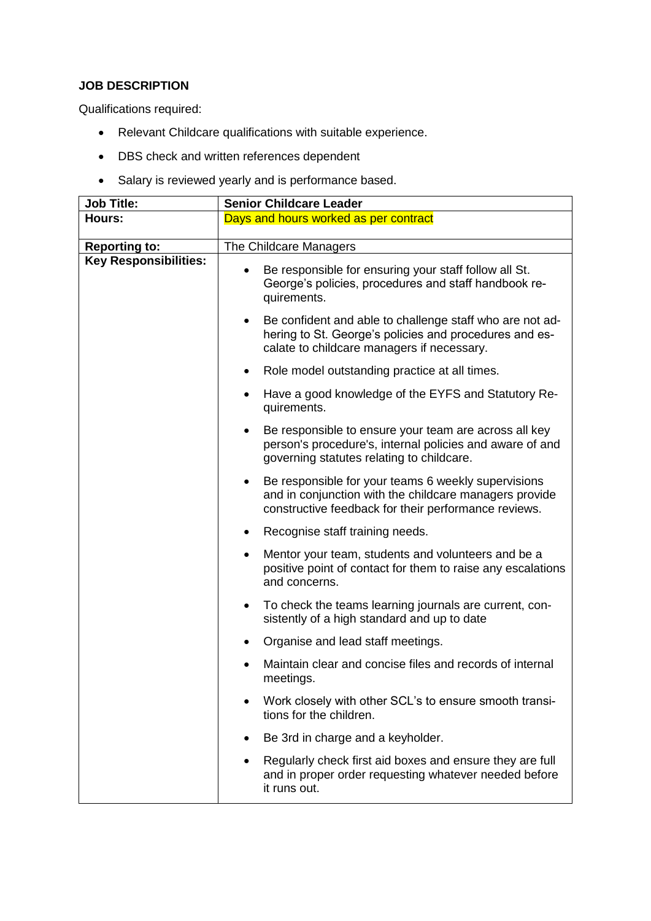## **JOB DESCRIPTION**

Qualifications required:

- Relevant Childcare qualifications with suitable experience.
- DBS check and written references dependent
- Salary is reviewed yearly and is performance based.

| <b>Job Title:</b>            | <b>Senior Childcare Leader</b>                                                                                                                                                     |
|------------------------------|------------------------------------------------------------------------------------------------------------------------------------------------------------------------------------|
| Hours:                       | Days and hours worked as per contract                                                                                                                                              |
| <b>Reporting to:</b>         | The Childcare Managers                                                                                                                                                             |
| <b>Key Responsibilities:</b> | Be responsible for ensuring your staff follow all St.<br>George's policies, procedures and staff handbook re-<br>quirements.                                                       |
|                              | Be confident and able to challenge staff who are not ad-<br>$\bullet$<br>hering to St. George's policies and procedures and es-<br>calate to childcare managers if necessary.      |
|                              | Role model outstanding practice at all times.<br>$\bullet$                                                                                                                         |
|                              | Have a good knowledge of the EYFS and Statutory Re-<br>$\bullet$<br>quirements.                                                                                                    |
|                              | Be responsible to ensure your team are across all key<br>person's procedure's, internal policies and aware of and<br>governing statutes relating to childcare.                     |
|                              | Be responsible for your teams 6 weekly supervisions<br>$\bullet$<br>and in conjunction with the childcare managers provide<br>constructive feedback for their performance reviews. |
|                              | Recognise staff training needs.                                                                                                                                                    |
|                              | Mentor your team, students and volunteers and be a<br>٠<br>positive point of contact for them to raise any escalations<br>and concerns.                                            |
|                              | To check the teams learning journals are current, con-<br>$\bullet$<br>sistently of a high standard and up to date                                                                 |
|                              | Organise and lead staff meetings.                                                                                                                                                  |
|                              | Maintain clear and concise files and records of internal<br>meetings.                                                                                                              |
|                              | Work closely with other SCL's to ensure smooth transi-<br>tions for the children.                                                                                                  |
|                              | Be 3rd in charge and a keyholder.                                                                                                                                                  |
|                              | Regularly check first aid boxes and ensure they are full<br>and in proper order requesting whatever needed before<br>it runs out.                                                  |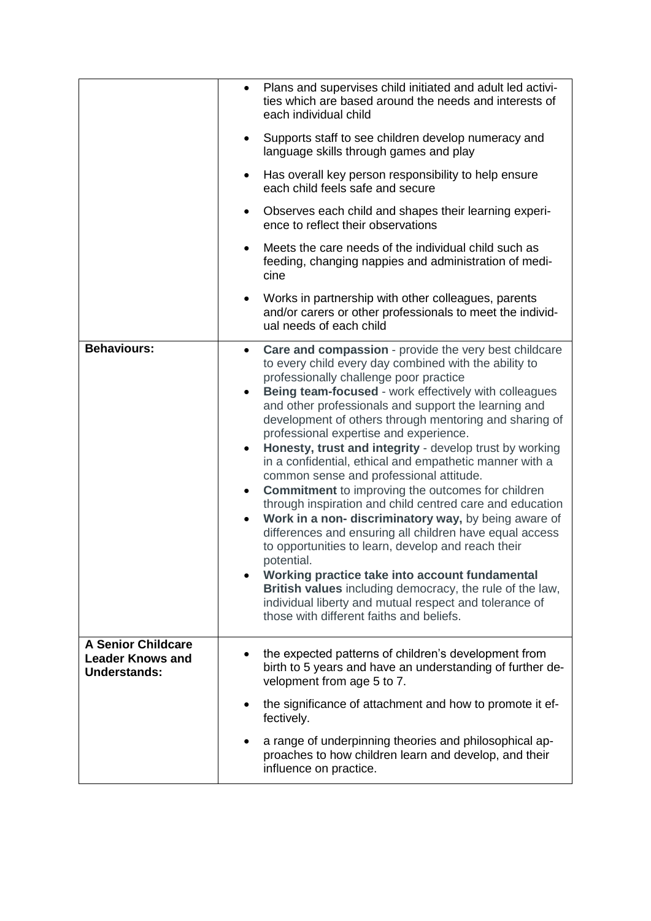|                                                                             | $\bullet$                                                     | Plans and supervises child initiated and adult led activi-<br>ties which are based around the needs and interests of<br>each individual child                                                                                                                                                                                                                                                                                                                                                                                                                                                                                                                                                                                                                                                                                                                                                                                                                                                                                                                                     |
|-----------------------------------------------------------------------------|---------------------------------------------------------------|-----------------------------------------------------------------------------------------------------------------------------------------------------------------------------------------------------------------------------------------------------------------------------------------------------------------------------------------------------------------------------------------------------------------------------------------------------------------------------------------------------------------------------------------------------------------------------------------------------------------------------------------------------------------------------------------------------------------------------------------------------------------------------------------------------------------------------------------------------------------------------------------------------------------------------------------------------------------------------------------------------------------------------------------------------------------------------------|
|                                                                             | $\bullet$                                                     | Supports staff to see children develop numeracy and<br>language skills through games and play                                                                                                                                                                                                                                                                                                                                                                                                                                                                                                                                                                                                                                                                                                                                                                                                                                                                                                                                                                                     |
|                                                                             | $\bullet$                                                     | Has overall key person responsibility to help ensure<br>each child feels safe and secure                                                                                                                                                                                                                                                                                                                                                                                                                                                                                                                                                                                                                                                                                                                                                                                                                                                                                                                                                                                          |
|                                                                             | $\bullet$                                                     | Observes each child and shapes their learning experi-<br>ence to reflect their observations                                                                                                                                                                                                                                                                                                                                                                                                                                                                                                                                                                                                                                                                                                                                                                                                                                                                                                                                                                                       |
|                                                                             | $\bullet$                                                     | Meets the care needs of the individual child such as<br>feeding, changing nappies and administration of medi-<br>cine                                                                                                                                                                                                                                                                                                                                                                                                                                                                                                                                                                                                                                                                                                                                                                                                                                                                                                                                                             |
|                                                                             | $\bullet$                                                     | Works in partnership with other colleagues, parents<br>and/or carers or other professionals to meet the individ-<br>ual needs of each child                                                                                                                                                                                                                                                                                                                                                                                                                                                                                                                                                                                                                                                                                                                                                                                                                                                                                                                                       |
| <b>Behaviours:</b>                                                          | $\bullet$<br>$\bullet$<br>$\bullet$<br>$\bullet$<br>$\bullet$ | Care and compassion - provide the very best childcare<br>to every child every day combined with the ability to<br>professionally challenge poor practice<br>Being team-focused - work effectively with colleagues<br>and other professionals and support the learning and<br>development of others through mentoring and sharing of<br>professional expertise and experience.<br>Honesty, trust and integrity - develop trust by working<br>in a confidential, ethical and empathetic manner with a<br>common sense and professional attitude.<br><b>Commitment</b> to improving the outcomes for children<br>through inspiration and child centred care and education<br>Work in a non- discriminatory way, by being aware of<br>differences and ensuring all children have equal access<br>to opportunities to learn, develop and reach their<br>potential.<br>Working practice take into account fundamental<br>British values including democracy, the rule of the law,<br>individual liberty and mutual respect and tolerance of<br>those with different faiths and beliefs. |
| <b>A Senior Childcare</b><br><b>Leader Knows and</b><br><b>Understands:</b> |                                                               | the expected patterns of children's development from<br>birth to 5 years and have an understanding of further de-<br>velopment from age 5 to 7.                                                                                                                                                                                                                                                                                                                                                                                                                                                                                                                                                                                                                                                                                                                                                                                                                                                                                                                                   |
|                                                                             |                                                               | the significance of attachment and how to promote it ef-<br>fectively.                                                                                                                                                                                                                                                                                                                                                                                                                                                                                                                                                                                                                                                                                                                                                                                                                                                                                                                                                                                                            |
|                                                                             |                                                               | a range of underpinning theories and philosophical ap-<br>proaches to how children learn and develop, and their<br>influence on practice.                                                                                                                                                                                                                                                                                                                                                                                                                                                                                                                                                                                                                                                                                                                                                                                                                                                                                                                                         |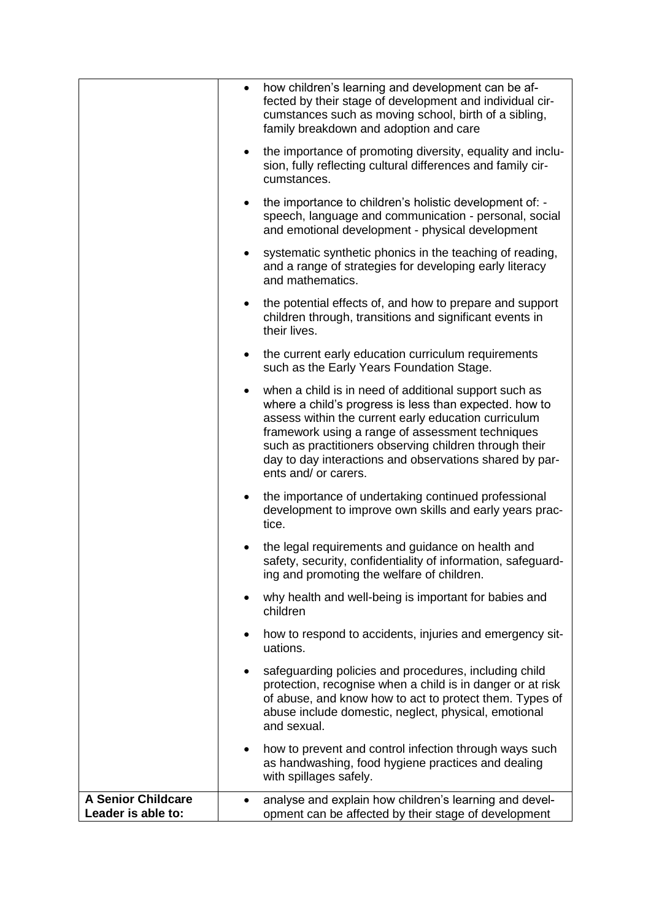|                                                 | $\bullet$ | how children's learning and development can be af-<br>fected by their stage of development and individual cir-<br>cumstances such as moving school, birth of a sibling,<br>family breakdown and adoption and care                                                                                                                                                        |
|-------------------------------------------------|-----------|--------------------------------------------------------------------------------------------------------------------------------------------------------------------------------------------------------------------------------------------------------------------------------------------------------------------------------------------------------------------------|
|                                                 | $\bullet$ | the importance of promoting diversity, equality and inclu-<br>sion, fully reflecting cultural differences and family cir-<br>cumstances.                                                                                                                                                                                                                                 |
|                                                 | $\bullet$ | the importance to children's holistic development of: -<br>speech, language and communication - personal, social<br>and emotional development - physical development                                                                                                                                                                                                     |
|                                                 |           | systematic synthetic phonics in the teaching of reading,<br>and a range of strategies for developing early literacy<br>and mathematics.                                                                                                                                                                                                                                  |
|                                                 | $\bullet$ | the potential effects of, and how to prepare and support<br>children through, transitions and significant events in<br>their lives.                                                                                                                                                                                                                                      |
|                                                 | $\bullet$ | the current early education curriculum requirements<br>such as the Early Years Foundation Stage.                                                                                                                                                                                                                                                                         |
|                                                 | $\bullet$ | when a child is in need of additional support such as<br>where a child's progress is less than expected. how to<br>assess within the current early education curriculum<br>framework using a range of assessment techniques<br>such as practitioners observing children through their<br>day to day interactions and observations shared by par-<br>ents and/ or carers. |
|                                                 | $\bullet$ | the importance of undertaking continued professional<br>development to improve own skills and early years prac-<br>tice.                                                                                                                                                                                                                                                 |
|                                                 |           | the legal requirements and guidance on health and<br>safety, security, confidentiality of information, safeguard-<br>ing and promoting the welfare of children.                                                                                                                                                                                                          |
|                                                 |           | why health and well-being is important for babies and<br>children                                                                                                                                                                                                                                                                                                        |
|                                                 |           | how to respond to accidents, injuries and emergency sit-<br>uations.                                                                                                                                                                                                                                                                                                     |
|                                                 | ٠         | safeguarding policies and procedures, including child<br>protection, recognise when a child is in danger or at risk<br>of abuse, and know how to act to protect them. Types of<br>abuse include domestic, neglect, physical, emotional<br>and sexual.                                                                                                                    |
|                                                 | $\bullet$ | how to prevent and control infection through ways such<br>as handwashing, food hygiene practices and dealing<br>with spillages safely.                                                                                                                                                                                                                                   |
| <b>A Senior Childcare</b><br>Leader is able to: |           | analyse and explain how children's learning and devel-<br>opment can be affected by their stage of development                                                                                                                                                                                                                                                           |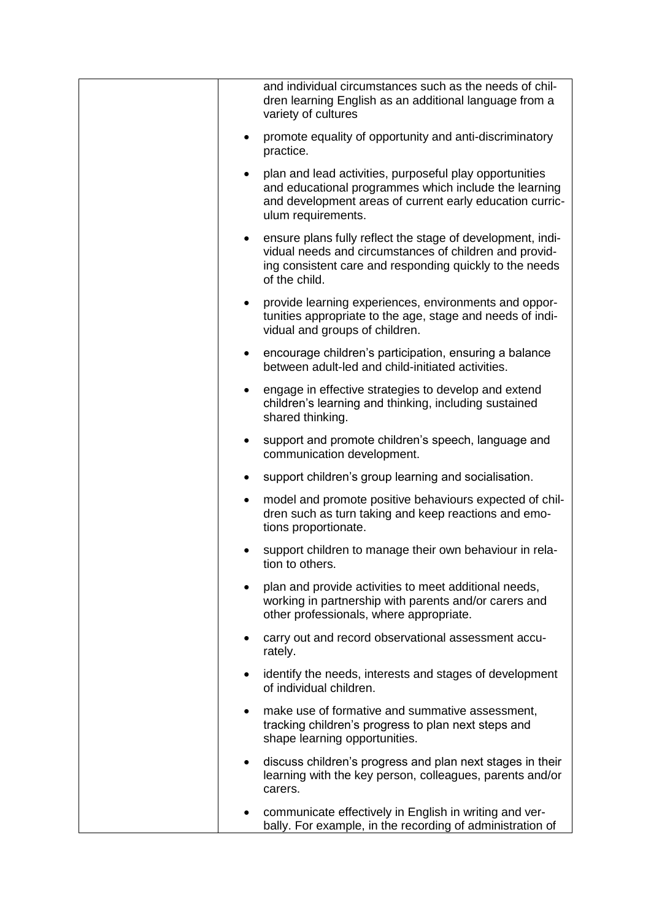| and individual circumstances such as the needs of chil-<br>dren learning English as an additional language from a<br>variety of cultures                                                           |
|----------------------------------------------------------------------------------------------------------------------------------------------------------------------------------------------------|
| promote equality of opportunity and anti-discriminatory<br>$\bullet$<br>practice.                                                                                                                  |
| plan and lead activities, purposeful play opportunities<br>and educational programmes which include the learning<br>and development areas of current early education curric-<br>ulum requirements. |
| ensure plans fully reflect the stage of development, indi-<br>vidual needs and circumstances of children and provid-<br>ing consistent care and responding quickly to the needs<br>of the child.   |
| provide learning experiences, environments and oppor-<br>tunities appropriate to the age, stage and needs of indi-<br>vidual and groups of children.                                               |
| encourage children's participation, ensuring a balance<br>$\bullet$<br>between adult-led and child-initiated activities.                                                                           |
| engage in effective strategies to develop and extend<br>$\bullet$<br>children's learning and thinking, including sustained<br>shared thinking.                                                     |
| support and promote children's speech, language and<br>$\bullet$<br>communication development.                                                                                                     |
| support children's group learning and socialisation.<br>$\bullet$                                                                                                                                  |
| model and promote positive behaviours expected of chil-<br>$\bullet$<br>dren such as turn taking and keep reactions and emo-<br>tions proportionate.                                               |
| support children to manage their own behaviour in rela-<br>tion to others.                                                                                                                         |
| plan and provide activities to meet additional needs,<br>working in partnership with parents and/or carers and<br>other professionals, where appropriate.                                          |
| carry out and record observational assessment accu-<br>$\bullet$<br>rately.                                                                                                                        |
| identify the needs, interests and stages of development<br>$\bullet$<br>of individual children.                                                                                                    |
| make use of formative and summative assessment,<br>tracking children's progress to plan next steps and<br>shape learning opportunities.                                                            |
| discuss children's progress and plan next stages in their<br>$\bullet$<br>learning with the key person, colleagues, parents and/or<br>carers.                                                      |
| communicate effectively in English in writing and ver-<br>bally. For example, in the recording of administration of                                                                                |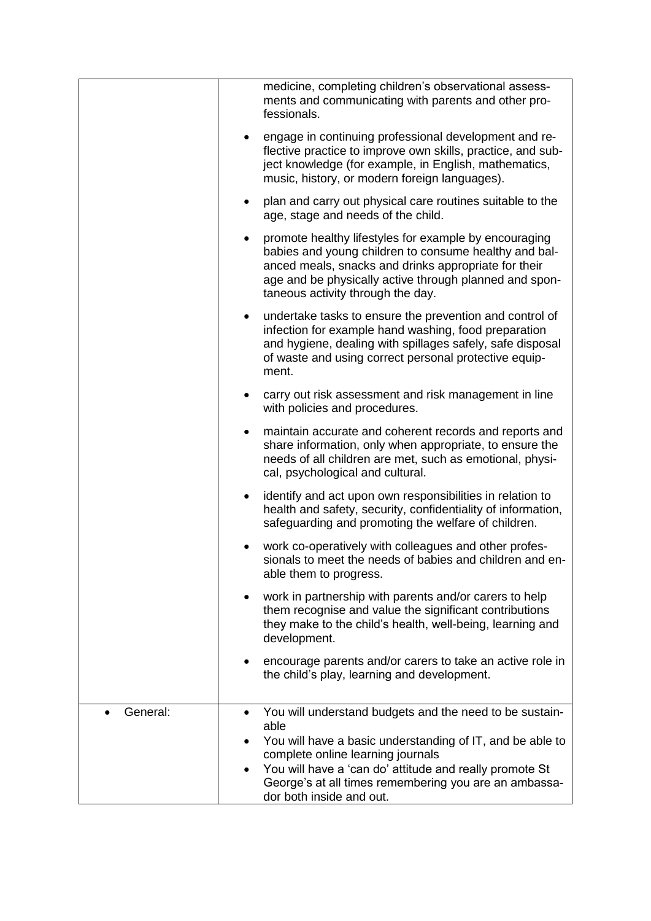|          | medicine, completing children's observational assess-<br>ments and communicating with parents and other pro-<br>fessionals.<br>engage in continuing professional development and re-<br>$\bullet$<br>flective practice to improve own skills, practice, and sub-<br>ject knowledge (for example, in English, mathematics,<br>music, history, or modern foreign languages).<br>plan and carry out physical care routines suitable to the<br>$\bullet$<br>age, stage and needs of the child. |
|----------|--------------------------------------------------------------------------------------------------------------------------------------------------------------------------------------------------------------------------------------------------------------------------------------------------------------------------------------------------------------------------------------------------------------------------------------------------------------------------------------------|
|          | promote healthy lifestyles for example by encouraging<br>babies and young children to consume healthy and bal-<br>anced meals, snacks and drinks appropriate for their<br>age and be physically active through planned and spon-<br>taneous activity through the day.                                                                                                                                                                                                                      |
|          | undertake tasks to ensure the prevention and control of<br>$\bullet$<br>infection for example hand washing, food preparation<br>and hygiene, dealing with spillages safely, safe disposal<br>of waste and using correct personal protective equip-<br>ment.                                                                                                                                                                                                                                |
|          | carry out risk assessment and risk management in line<br>$\bullet$<br>with policies and procedures.                                                                                                                                                                                                                                                                                                                                                                                        |
|          | maintain accurate and coherent records and reports and<br>$\bullet$<br>share information, only when appropriate, to ensure the<br>needs of all children are met, such as emotional, physi-<br>cal, psychological and cultural.                                                                                                                                                                                                                                                             |
|          | identify and act upon own responsibilities in relation to<br>$\bullet$<br>health and safety, security, confidentiality of information,<br>safeguarding and promoting the welfare of children.                                                                                                                                                                                                                                                                                              |
|          | work co-operatively with colleagues and other profes-<br>sionals to meet the needs of babies and children and en-<br>able them to progress.                                                                                                                                                                                                                                                                                                                                                |
|          | work in partnership with parents and/or carers to help<br>them recognise and value the significant contributions<br>they make to the child's health, well-being, learning and<br>development.                                                                                                                                                                                                                                                                                              |
|          | encourage parents and/or carers to take an active role in<br>the child's play, learning and development.                                                                                                                                                                                                                                                                                                                                                                                   |
| General: | You will understand budgets and the need to be sustain-<br>able                                                                                                                                                                                                                                                                                                                                                                                                                            |
|          | You will have a basic understanding of IT, and be able to<br>$\bullet$<br>complete online learning journals                                                                                                                                                                                                                                                                                                                                                                                |
|          | You will have a 'can do' attitude and really promote St<br>George's at all times remembering you are an ambassa-<br>dor both inside and out.                                                                                                                                                                                                                                                                                                                                               |